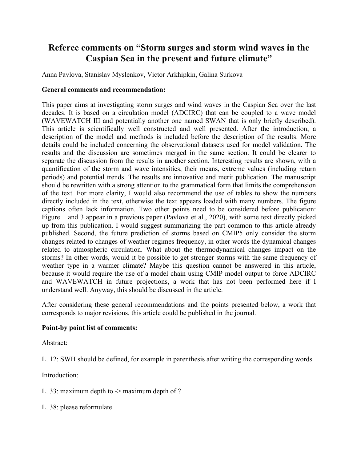## **Referee comments on "Storm surges and storm wind waves in the Caspian Sea in the present and future climate"**

Anna Pavlova, Stanislav Myslenkov, Victor Arkhipkin, Galina Surkova

## **General comments and recommendation:**

This paper aims at investigating storm surges and wind waves in the Caspian Sea over the last decades. It is based on a circulation model (ADCIRC) that can be coupled to a wave model (WAVEWATCH III and potentially another one named SWAN that is only briefly described). This article is scientifically well constructed and well presented. After the introduction, a description of the model and methods is included before the description of the results. More details could be included concerning the observational datasets used for model validation. The results and the discussion are sometimes merged in the same section. It could be clearer to separate the discussion from the results in another section. Interesting results are shown, with a quantification of the storm and wave intensities, their means, extreme values (including return periods) and potential trends. The results are innovative and merit publication. The manuscript should be rewritten with a strong attention to the grammatical form that limits the comprehension of the text. For more clarity, I would also recommend the use of tables to show the numbers directly included in the text, otherwise the text appears loaded with many numbers. The figure captions often lack information. Two other points need to be considered before publication: Figure 1 and 3 appear in a previous paper (Pavlova et al., 2020), with some text directly picked up from this publication. I would suggest summarizing the part common to this article already published. Second, the future prediction of storms based on CMIP5 only consider the storm changes related to changes of weather regimes frequency, in other words the dynamical changes related to atmospheric circulation. What about the thermodynamical changes impact on the storms? In other words, would it be possible to get stronger storms with the same frequency of weather type in a warmer climate? Maybe this question cannot be answered in this article, because it would require the use of a model chain using CMIP model output to force ADCIRC and WAVEWATCH in future projections, a work that has not been performed here if I understand well. Anyway, this should be discussed in the article.

After considering these general recommendations and the points presented below, a work that corresponds to major revisions, this article could be published in the journal.

## **Point-by point list of comments:**

Abstract:

L. 12: SWH should be defined, for example in parenthesis after writing the corresponding words.

Introduction:

L. 33: maximum depth to -> maximum depth of ?

L. 38: please reformulate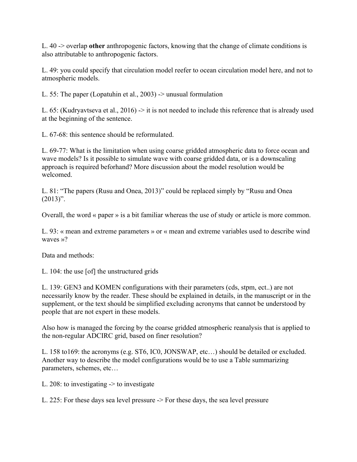L. 40 -> overlap **other** anthropogenic factors, knowing that the change of climate conditions is also attributable to anthropogenic factors.

L. 49: you could specify that circulation model reefer to ocean circulation model here, and not to atmospheric models.

L. 55: The paper (Lopatuhin et al., 2003) -> unusual formulation

L. 65: (Kudryavtseva et al., 2016) -> it is not needed to include this reference that is already used at the beginning of the sentence.

L. 67-68: this sentence should be reformulated.

L. 69-77: What is the limitation when using coarse gridded atmospheric data to force ocean and wave models? Is it possible to simulate wave with coarse gridded data, or is a downscaling approach is required beforhand? More discussion about the model resolution would be welcomed.

L. 81: "The papers (Rusu and Onea, 2013)" could be replaced simply by "Rusu and Onea  $(2013)$ ".

Overall, the word « paper » is a bit familiar whereas the use of study or article is more common.

L. 93: « mean and extreme parameters » or « mean and extreme variables used to describe wind waves »?

Data and methods:

L. 104: the use [of] the unstructured grids

L. 139: GEN3 and KOMEN configurations with their parameters (cds, stpm, ect..) are not necessarily know by the reader. These should be explained in details, in the manuscript or in the supplement, or the text should be simplified excluding acronyms that cannot be understood by people that are not expert in these models.

Also how is managed the forcing by the coarse gridded atmospheric reanalysis that is applied to the non-regular ADCIRC grid, based on finer resolution?

L. 158 to169: the acronyms (e.g. ST6, IC0, JONSWAP, etc…) should be detailed or excluded. Another way to describe the model configurations would be to use a Table summarizing parameters, schemes, etc…

L. 208: to investigating -> to investigate

L. 225: For these days sea level pressure -> For these days, the sea level pressure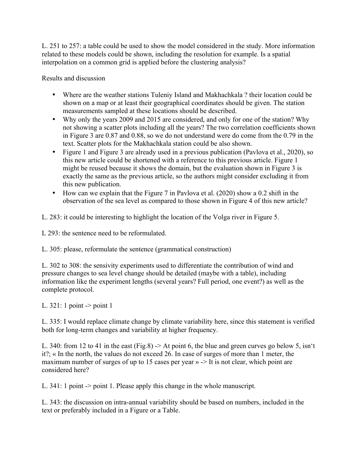L. 251 to 257: a table could be used to show the model considered in the study. More information related to these models could be shown, including the resolution for example. Is a spatial interpolation on a common grid is applied before the clustering analysis?

Results and discussion

- Where are the weather stations Tuleniy Island and Makhachkala ? their location could be shown on a map or at least their geographical coordinates should be given. The station measurements sampled at these locations should be described.
- Why only the years 2009 and 2015 are considered, and only for one of the station? Why not showing a scatter plots including all the years? The two correlation coefficients shown in Figure 3 are 0.87 and 0.88, so we do not understand were do come from the 0.79 in the text. Scatter plots for the Makhachkala station could be also shown.
- Figure 1 and Figure 3 are already used in a previous publication (Pavlova et al., 2020), so this new article could be shortened with a reference to this previous article. Figure 1 might be reused because it shows the domain, but the evaluation shown in Figure 3 is exactly the same as the previous article, so the authors might consider excluding it from this new publication.
- How can we explain that the Figure 7 in Pavlova et al. (2020) show a 0.2 shift in the observation of the sea level as compared to those shown in Figure 4 of this new article?
- L. 283: it could be interesting to highlight the location of the Volga river in Figure 5.

L 293; the sentence need to be reformulated.

L. 305: please, reformulate the sentence (grammatical construction)

L. 302 to 308: the sensivity experiments used to differentiate the contribution of wind and pressure changes to sea level change should be detailed (maybe with a table), including information like the experiment lengths (several years? Full period, one event?) as well as the complete protocol.

L. 321: 1 point -> point 1

L. 335: I would replace climate change by climate variability here, since this statement is verified both for long-term changes and variability at higher frequency.

L. 340: from 12 to 41 in the east (Fig.8)  $\rightarrow$  At point 6, the blue and green curves go below 5, isn't it?; « In the north, the values do not exceed 26. In case of surges of more than 1 meter, the maximum number of surges of up to 15 cases per year » -> It is not clear, which point are considered here?

L. 341: 1 point -> point 1. Please apply this change in the whole manuscript.

L. 343: the discussion on intra-annual variability should be based on numbers, included in the text or preferably included in a Figure or a Table.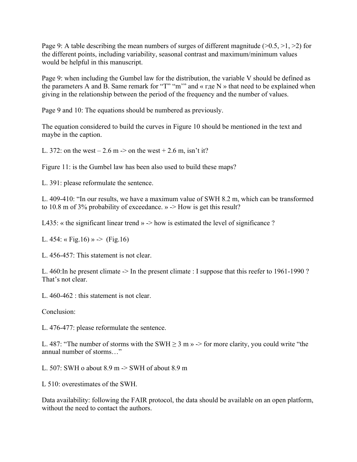Page 9: A table describing the mean numbers of surges of different magnitude  $(0.5, 0.5, 0.5)$  for the different points, including variability, seasonal contrast and maximum/minimum values would be helpful in this manuscript.

Page 9: when including the Gumbel law for the distribution, the variable V should be defined as the parameters A and B. Same remark for "T" "m'" and « где N » that need to be explained when giving in the relationship between the period of the frequency and the number of values.

Page 9 and 10: The equations should be numbered as previously.

The equation considered to build the curves in Figure 10 should be mentioned in the text and maybe in the caption.

L. 372: on the west  $-2.6$  m  $\rightarrow$  on the west  $+2.6$  m, isn't it?

Figure 11: is the Gumbel law has been also used to build these maps?

L. 391: please reformulate the sentence.

L. 409-410: "In our results, we have a maximum value of SWH 8.2 m, which can be transformed to 10.8 m of 3% probability of exceedance.  $\gg$   $\rightarrow$  How is get this result?

L435: « the significant linear trend » -> how is estimated the level of significance ?

L. 454: « Fig.16) »  $\rightarrow$  (Fig.16)

L. 456-457: This statement is not clear.

L. 460:In he present climate -> In the present climate : I suppose that this reefer to 1961-1990 ? That's not clear.

L. 460-462 : this statement is not clear.

Conclusion:

L. 476-477: please reformulate the sentence.

L. 487: "The number of storms with the SWH  $> 3$  m  $\rightarrow$   $>$  for more clarity, you could write "the annual number of storms…"

L. 507: SWH o about 8.9 m -> SWH of about 8.9 m

L 510: overestimates of the SWH.

Data availability: following the FAIR protocol, the data should be available on an open platform, without the need to contact the authors.